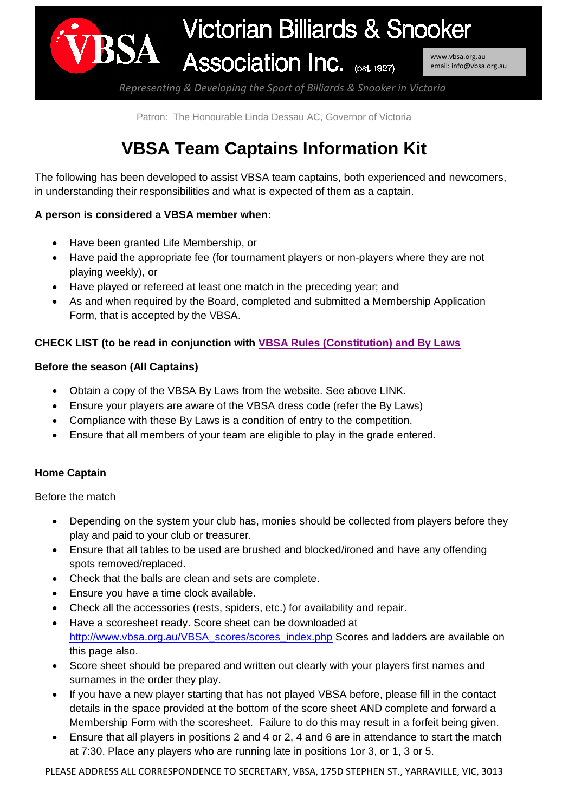

*Representing & Developing the Sport of Billiards & Snooker in Victoria*

Patron: The Honourable Linda Dessau AC, Governor of Victoria

# **VBSA Team Captains Information Kit**

The following has been developed to assist VBSA team captains, both experienced and newcomers, in understanding their responsibilities and what is expected of them as a captain.

#### **A person is considered a VBSA member when:**

- Have been granted Life Membership, or
- Have paid the appropriate fee (for tournament players or non-players where they are not playing weekly), or
- Have played or refereed at least one match in the preceding year; and
- As and when required by the Board, completed and submitted a Membership Application Form, that is accepted by the VBSA.

## **CHECK LIST (to be read in conjunction with [VBSA Rules \(Constitution\) and By](http://www.vbsa.org.au/VBSA/vbsa_members_info.php) Laws**

#### **Before the season (All Captains)**

- Obtain a copy of the VBSA By Laws from the website. See above LINK.
- Ensure your players are aware of the VBSA dress code (refer the By Laws)
- Compliance with these By Laws is a condition of entry to the competition.
- Ensure that all members of your team are eligible to play in the grade entered.

## **Home Captain**

Before the match

- Depending on the system your club has, monies should be collected from players before they play and paid to your club or treasurer.
- Ensure that all tables to be used are brushed and blocked/ironed and have any offending spots removed/replaced.
- Check that the balls are clean and sets are complete.
- Ensure you have a time clock available.
- Check all the accessories (rests, spiders, etc.) for availability and repair.
- Have a scoresheet ready. Score sheet can be downloaded at [http://www.vbsa.org.au/VBSA\\_scores/scores\\_index.php](http://www.vbsa.org.au/VBSA_scores/scores_index.php) Scores and ladders are available on this page also.
- Score sheet should be prepared and written out clearly with your players first names and surnames in the order they play.
- If you have a new player starting that has not played VBSA before, please fill in the contact details in the space provided at the bottom of the score sheet AND complete and forward a Membership Form with the scoresheet. Failure to do this may result in a forfeit being given.
- Ensure that all players in positions 2 and 4 or 2, 4 and 6 are in attendance to start the match at 7:30. Place any players who are running late in positions 1or 3, or 1, 3 or 5.

PLEASE ADDRESS ALL CORRESPONDENCE TO SECRETARY, VBSA, 175D STEPHEN ST., YARRAVILLE, VIC, 3013